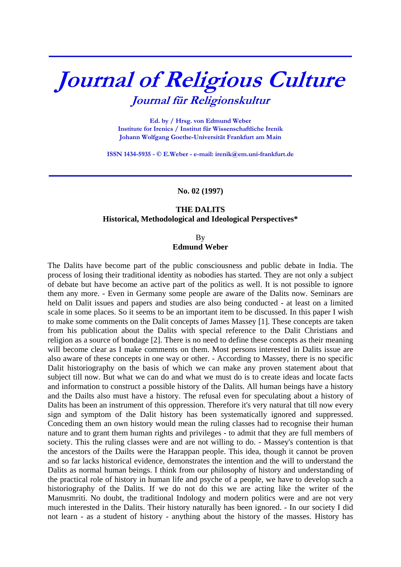## **Journal of Religious Culture Journal für Religionskultur**

**\_\_\_\_\_\_\_\_\_\_\_\_\_\_\_\_\_\_\_\_\_\_\_\_\_\_\_\_\_\_\_\_\_\_\_\_\_\_\_\_\_\_\_\_\_\_\_\_\_\_\_\_\_\_\_\_\_\_\_\_\_\_\_\_\_\_\_\_\_\_\_\_\_\_\_**

**Ed. by / Hrsg. von Edmund Weber Institute for Irenics / Institut für Wissenschaftliche Irenik Johann Wolfgang Goethe-Universität Frankfurt am Main** 

**ISSN 1434-5935 - © E.Weber - e-mail: irenik@em.uni-frankfurt.de** 

**\_\_\_\_\_\_\_\_\_\_\_\_\_\_\_\_\_\_\_\_\_\_\_\_\_\_\_\_\_\_\_\_\_\_\_\_\_\_\_\_\_\_\_\_\_\_\_\_\_\_\_\_\_\_\_\_\_\_\_\_\_\_\_\_\_\_\_\_\_\_\_\_\_\_\_**

**No. 02 (1997)** 

## **THE DALITS Historical, Methodological and Ideological Perspectives\***

By **Edmund Weber** 

The Dalits have become part of the public consciousness and public debate in India. The process of losing their traditional identity as nobodies has started. They are not only a subject of debate but have become an active part of the politics as well. It is not possible to ignore them any more. - Even in Germany some people are aware of the Dalits now. Seminars are held on Dalit issues and papers and studies are also being conducted - at least on a limited scale in some places. So it seems to be an important item to be discussed. In this paper I wish to make some comments on the Dalit concepts of James Massey [1]. These concepts are taken from his publication about the Dalits with special reference to the Dalit Christians and religion as a source of bondage [2]. There is no need to define these concepts as their meaning will become clear as I make comments on them. Most persons interested in Dalits issue are also aware of these concepts in one way or other. - According to Massey, there is no specific Dalit historiography on the basis of which we can make any proven statement about that subject till now. But what we can do and what we must do is to create ideas and locate facts and information to construct a possible history of the Dalits. All human beings have a history and the Dailts also must have a history. The refusal even for speculating about a history of Dalits has been an instrument of this oppression. Therefore it's very natural that till now every sign and symptom of the Dalit history has been systematically ignored and suppressed. Conceding them an own history would mean the ruling classes had to recognise their human nature and to grant them human rights and privileges - to admit that they are full members of society. This the ruling classes were and are not willing to do. - Massey's contention is that the ancestors of the Dailts were the Harappan people. This idea, though it cannot be proven and so far lacks historical evidence, demonstrates the intention and the will to understand the Dalits as normal human beings. I think from our philosophy of history and understanding of the practical role of history in human life and psyche of a people, we have to develop such a historiography of the Dalits. If we do not do this we are acting like the writer of the Manusmriti. No doubt, the traditional Indology and modern politics were and are not very much interested in the Dalits. Their history naturally has been ignored. - In our society I did not learn - as a student of history - anything about the history of the masses. History has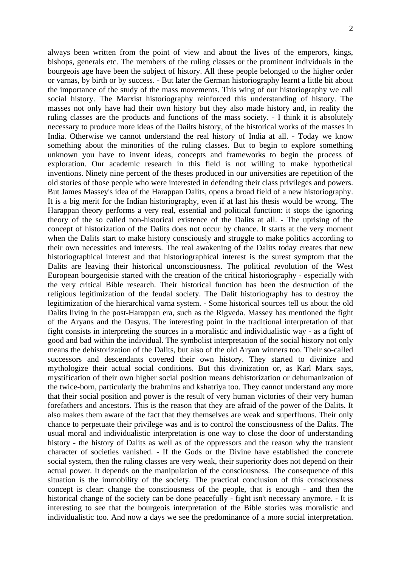always been written from the point of view and about the lives of the emperors, kings, bishops, generals etc. The members of the ruling classes or the prominent individuals in the bourgeois age have been the subject of history. All these people belonged to the higher order or varnas, by birth or by success. - But later the German historiography learnt a little bit about the importance of the study of the mass movements. This wing of our historiography we call social history. The Marxist historiography reinforced this understanding of history. The masses not only have had their own history but they also made history and, in reality the ruling classes are the products and functions of the mass society. - I think it is absolutely necessary to produce more ideas of the Dailts history, of the historical works of the masses in India. Otherwise we cannot understand the real history of India at all. - Today we know something about the minorities of the ruling classes. But to begin to explore something unknown you have to invent ideas, concepts and frameworks to begin the process of exploration. Our academic research in this field is not willing to make hypothetical inventions. Ninety nine percent of the theses produced in our universities are repetition of the old stories of those people who were interested in defending their class privileges and powers. But James Massey's idea of the Harappan Dalits, opens a broad field of a new historiography. It is a big merit for the Indian historiography, even if at last his thesis would be wrong. The Harappan theory performs a very real, essential and political function: it stops the ignoring theory of the so called non-historical existence of the Dalits at all. - The uprising of the concept of historization of the Dalits does not occur by chance. It starts at the very moment when the Dalits start to make history consciously and struggle to make politics according to their own necessities and interests. The real awakening of the Dalits today creates that new historiographical interest and that historiographical interest is the surest symptom that the Dalits are leaving their historical unconsciousness. The political revolution of the West European bourgeoisie started with the creation of the critical historiography - especially with the very critical Bible research. Their historical function has been the destruction of the religious legitimization of the feudal society. The Dalit historiography has to destroy the legitimization of the hierarchical varna system. - Some historical sources tell us about the old Dalits living in the post-Harappan era, such as the Rigveda. Massey has mentioned the fight of the Aryans and the Dasyus. The interesting point in the traditional interpretation of that fight consists in interpreting the sources in a moralistic and individualistic way - as a fight of good and bad within the individual. The symbolist interpretation of the social history not only means the dehistorization of the Dalits, but also of the old Aryan winners too. Their so-called successors and descendants covered their own history. They started to divinize and mythologize their actual social conditions. But this divinization or, as Karl Marx says, mystification of their own higher social position means dehistorization or dehumanization of the twice-born, particularly the brahmins and kshatriya too. They cannot understand any more that their social position and power is the result of very human victories of their very human forefathers and ancestors. This is the reason that they are afraid of the power of the Dalits. It also makes them aware of the fact that they themselves are weak and superfluous. Their only chance to perpetuate their privilege was and is to control the consciousness of the Dalits. The usual moral and individualistic interpretation is one way to close the door of understanding history - the history of Dalits as well as of the oppressors and the reason why the transient character of societies vanished. - If the Gods or the Divine have established the concrete social system, then the ruling classes are very weak, their superiority does not depend on their actual power. It depends on the manipulation of the consciousness. The consequence of this situation is the immobility of the society. The practical conclusion of this consciousness concept is clear: change the consciousness of the people, that is enough - and then the historical change of the society can be done peacefully - fight isn't necessary anymore. - It is interesting to see that the bourgeois interpretation of the Bible stories was moralistic and individualistic too. And now a days we see the predominance of a more social interpretation.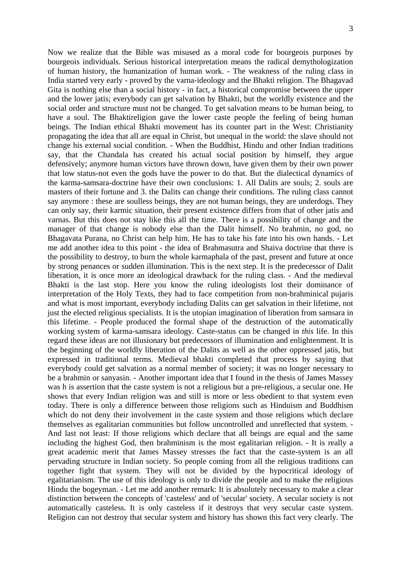Now we realize that the Bible was misused as a moral code for bourgeois purposes by bourgeois individuals. Serious historical interpretation means the radical demythologization of human history, the humanization of human work. - The weakness of the ruling class in India started very early - proved by the varna-ideology and the Bhakti religion. The Bhagavad Gita is nothing else than a social history - in fact, a historical compromise between the upper and the lower jatis; everybody can get salvation by Bhakti, but the worldly existence and the social order and structure must not be changed. To get salvation means to be human being, to have a soul. The Bhaktireligion gave the lower caste people the feeling of being human beings. The Indian ethical Bhakti movement has its counter part in the West: Christianity propagating the idea that all are equal in Christ, but unequal in the world: the slave should not change his external social condition. - When the Buddhist, Hindu and other Indian traditions say, that the Chandala has created his actual social position by himself, they argue defensively; anymore human victors have thrown down, have given them by their own power that low status-not even the gods have the power to do that. But the dialectical dynamics of the karma-samsara-doctrine have their own conclusions: 1. All Dalits are souls; 2. souls are masters of their fortune and 3. the Dalits can change their conditions. The ruling class cannot say anymore : these are soulless beings, they are not human beings, they are underdogs. They can only say, their karmic situation, their present existence differs from that of other jatis and varnas. But this does not stay like this all the time. There is a possibility of change and the manager of that change is nobody else than the Dalit himself. No brahmin, no god, no Bhagavata Purana, no Christ can help him. He has to take his fate into his own hands. - Let me add another idea to this point - the idea of Brahmasutra and Shaiva doctrine that there is the possibility to destroy, to burn the whole karmaphala of the past, present and future at once by strong penances or sudden illumination. This is the next step. It is the predecessor of Dalit liberation, it is once more an ideological drawback for the ruling class. - And the medieval Bhakti is the last stop. Here you know the ruling ideologists lost their dominance of interpretation of the Holy Texts, they had to face competition from non-brahminical pujaris and what is most important, everybody including Dalits can get salvation in their lifetime, not just the elected religious specialists. It is the utopian imagination of liberation from samsara in this lifetime. - People produced the formal shape of the destruction of the automatically working system of karma-samsara ideology. Caste-status can be changed in *this* life. In this regard these ideas are not illusionary but predecessors of illumination and enlightenment. It is the beginning of the worldly liberation of the Dalits as well as the other oppressed jatis, but expressed in traditional terms. Medieval bhakti completed that process by saying that everybody could get salvation as a normal member of society; it was no longer necessary to be a brahmin or sanyasin. - Another important idea that I found in the thesis of James Massey was h is assertion that the caste system is not a religious but a pre-religious, a secular one. He shows that every Indian religion was and still is more or less obedient to that system even today. There is only a difference between those religions such as Hinduism and Buddhism which do not deny their involvement in the caste system and those religions which declare themselves as egalitarian communities but follow uncontrolled and unreflected that system. - And last not least: If those religions which declare that all beings are equal and the same including the highest God, then brahminism is the most egalitarian religion. - It is really a great academic merit that James Massey stresses the fact that the caste-system is an all pervading structure in Indian society. So people coming from all the religious traditions can together fight that system. They will not be divided by the hypocritical ideology of egalitarianism. The use of this ideology is only to divide the people and to make the religious Hindu the bogeyman. - Let me add another remark: It is absolutely necessary to make a clear distinction between the concepts of 'casteless' and of 'secular' society. A secular society is not automatically casteless. It is only casteless if it destroys that very secular caste system. Religion can not destroy that secular system and history has shown this fact very clearly. The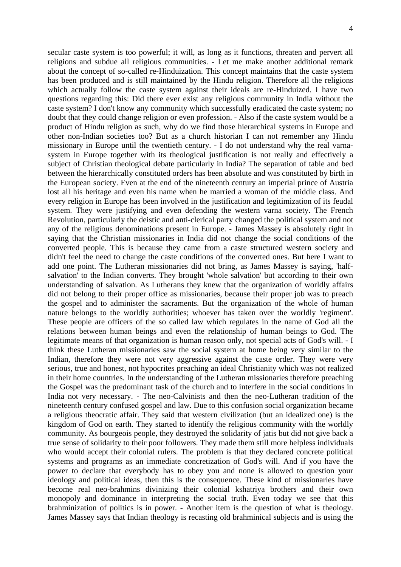secular caste system is too powerful; it will, as long as it functions, threaten and pervert all religions and subdue all religious communities. - Let me make another additional remark about the concept of so-called re-Hinduization. This concept maintains that the caste system has been produced and is still maintained by the Hindu religion. Therefore all the religions which actually follow the caste system against their ideals are re-Hinduized. I have two questions regarding this: Did there ever exist any religious community in India without the caste system? I don't know any community which successfully eradicated the caste system; no doubt that they could change religion or even profession. - Also if the caste system would be a product of Hindu religion as such, why do we find those hierarchical systems in Europe and other non-Indian societies too? But as a church historian I can not remember any Hindu missionary in Europe until the twentieth century. - I do not understand why the real varnasystem in Europe together with its theological justification is not really and effectively a subject of Christian theological debate particularly in India? The separation of table and bed between the hierarchically constituted orders has been absolute and was constituted by birth in the European society. Even at the end of the nineteenth century an imperial prince of Austria lost all his heritage and even his name when he married a woman of the middle class. And every religion in Europe has been involved in the justification and legitimization of its feudal system. They were justifying and even defending the western varna society. The French Revolution, particularly the deistic and anti-clerical party changed the political system and not any of the religious denominations present in Europe. - James Massey is absolutely right in saying that the Christian missionaries in India did not change the social conditions of the converted people. This is because they came from a caste structured western society and didn't feel the need to change the caste conditions of the converted ones. But here I want to add one point. The Lutheran missionaries did not bring, as James Massey is saying, 'halfsalvation' to the Indian converts. They brought 'whole salvation' but according to their own understanding of salvation. As Lutherans they knew that the organization of worldly affairs did not belong to their proper office as missionaries, because their proper job was to preach the gospel and to administer the sacraments. But the organization of the whole of human nature belongs to the worldly authorities; whoever has taken over the worldly 'regiment'. These people are officers of the so called law which regulates in the name of God all the relations between human beings and even the relationship of human beings to God. The legitimate means of that organization is human reason only, not special acts of God's will. - I think these Lutheran missionaries saw the social system at home being very similar to the Indian, therefore they were not very aggressive against the caste order. They were very serious, true and honest, not hypocrites preaching an ideal Christianity which was not realized in their home countries. In the understanding of the Lutheran missionaries therefore preaching the Gospel was the predominant task of the church and to interfere in the social conditions in India not very necessary. - The neo-Calvinists and then the neo-Lutheran tradition of the nineteenth century confused gospel and law. Due to this confusion social organization became a religious theocratic affair. They said that western civilization (but an idealized one) is the kingdom of God on earth. They started to identify the religious community with the worldly community. As bourgeois people, they destroyed the solidarity of jatis but did not give back a true sense of solidarity to their poor followers. They made them still more helpless individuals who would accept their colonial rulers. The problem is that they declared concrete political systems and programs as an immediate concretization of God's will. And if you have the power to declare that everybody has to obey you and none is allowed to question your ideology and political ideas, then this is the consequence. These kind of missionaries have become real neo-brahmins divinizing their colonial kshatriya brothers and their own monopoly and dominance in interpreting the social truth. Even today we see that this brahminization of politics is in power. - Another item is the question of what is theology. James Massey says that Indian theology is recasting old brahminical subjects and is using the